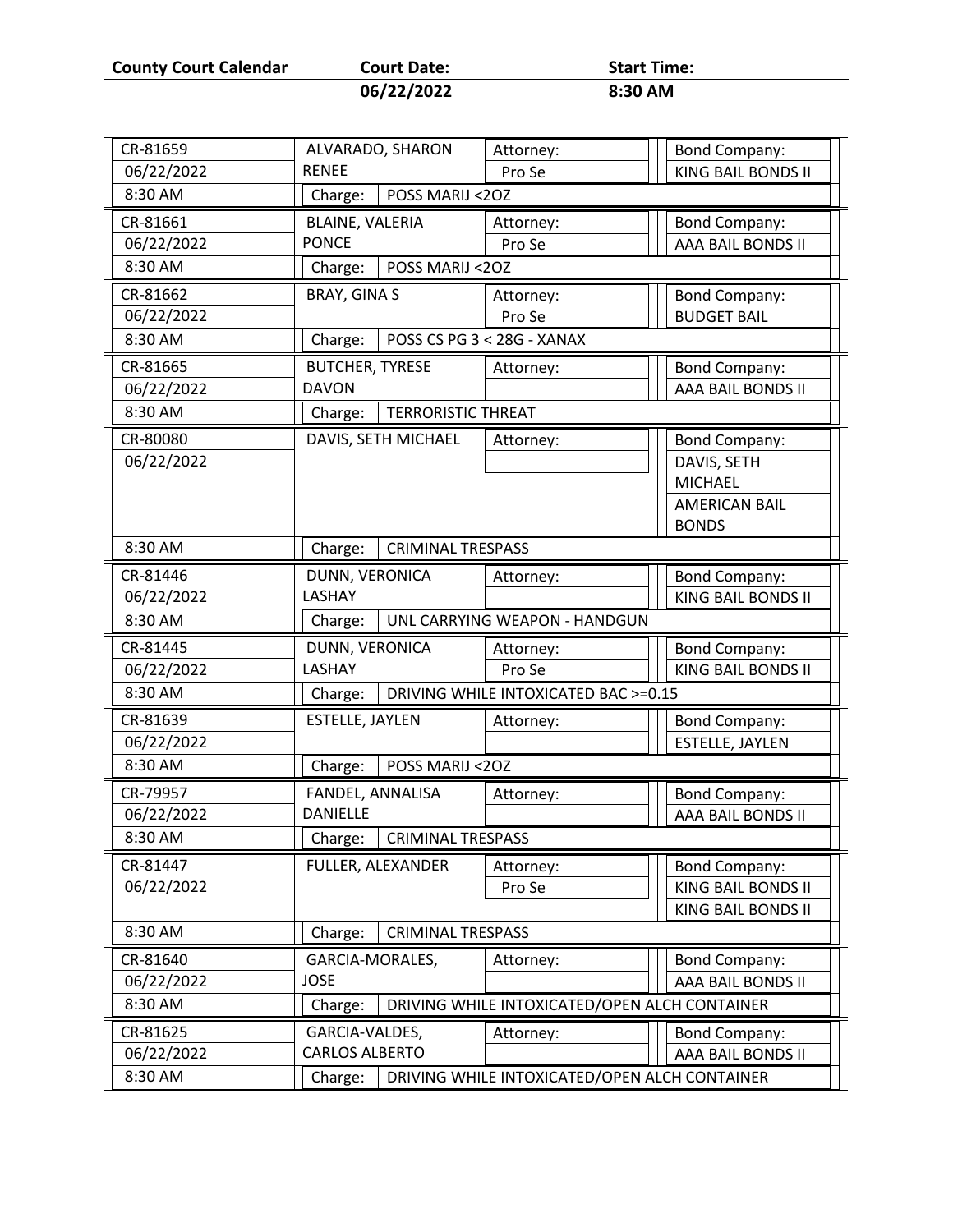**County Court Calendar Court Date: Start Time:** 

| Court Date: | start Tim |
|-------------|-----------|
| 06/22/2022  | 8:30 AM   |

CR-81659 ALVARADO, SHARON RENEE Attorney: Pro Se Bond Company: 06/22/2022 | RENEE | Pro Se | KING BAIL BONDS II 8:30 AM | | Charge: | POSS MARIJ <20Z CR-81661 BLAINE, VALERIA PONCE Attorney: Pro Se Bond Company: 06/22/2022 PONCE | Pro Se | AAA BAIL BONDS II 8:30 AM | | Charge: | POSS MARIJ <2OZ CR-81662 | BRAY, GINA S | Attorney: Pro Se Bond Company: 06/22/2022 BUDGET BAIL 8:30 AM Charge: POSS CS PG 3 < 28G - XANAX CR-81665 BUTCHER, TYRESE DAVON Attorney: | | | Bond Company: 06/22/2022 AAA BAIL BONDS II 8:30 AM  $\vert$  Charge: TERRORISTIC THREAT CR-80080 DAVIS, SETH MICHAEL || Attorney: [ || Bond Company: DAVIS, SETH MICHAEL AMERICAN BAIL BONDS 06/22/2022 8:30 AM  $\vert$  Charge: CRIMINAL TRESPASS CR-81446 DUNN, VERONICA LASHAY Attorney:  $\vert \vert \vert$  Bond Company: 06/22/2022 KING BAIL BONDS II 8:30 AM  $\vert$  Charge: UNL CARRYING WEAPON - HANDGUN CR-81445 DUNN, VERONICA LASHAY Attorney: Pro Se Bond Company: 06/22/2022 | LASHAY | Pro Se | | KING BAIL BONDS II 8:30 AM  $\vert$  Charge: DRIVING WHILE INTOXICATED BAC >=0.15 CR-81639 **EXTELLE, JAYLEN Attorney: EXTELLE**, **EXTELLE**, **EXTELLE EXTELLE EXTELLE BOND COMPANY:** 06/22/2022 | | | | | | | | | | | | | | | ESTELLE, JAYLEN 8:30 AM Charge: POSS MARIJ <2OZ CR-79957 FANDEL, ANNALISA DANIELLE Attorney: | | | Bond Company: 06/22/2022 AAA BAIL BONDS II 8:30 AM  $\vert$  Charge: CRIMINAL TRESPASS CR-81447 | FULLER, ALEXANDER | Attorney: Pro Se Bond Company: KING BAIL BONDS II KING BAIL BONDS II 06/22/2022 8:30 AM **Charge: CRIMINAL TRESPASS** CR-81640 GARCIA-MORALES, JOSE Attorney:  $\vert\vert\vert$  Bond Company: 06/22/2022 AAA BAIL BONDS II 8:30 AM  $\vert$  Charge: DRIVING WHILE INTOXICATED/OPEN ALCH CONTAINER CR-81625 GARCIA-VALDES, CARLOS ALBERTO Attorney:  $\vert\vert\vert$  Bond Company: 06/22/2022 AAA BAIL BONDS II 8:30 AM  $\vert$  Charge: DRIVING WHILE INTOXICATED/OPEN ALCH CONTAINER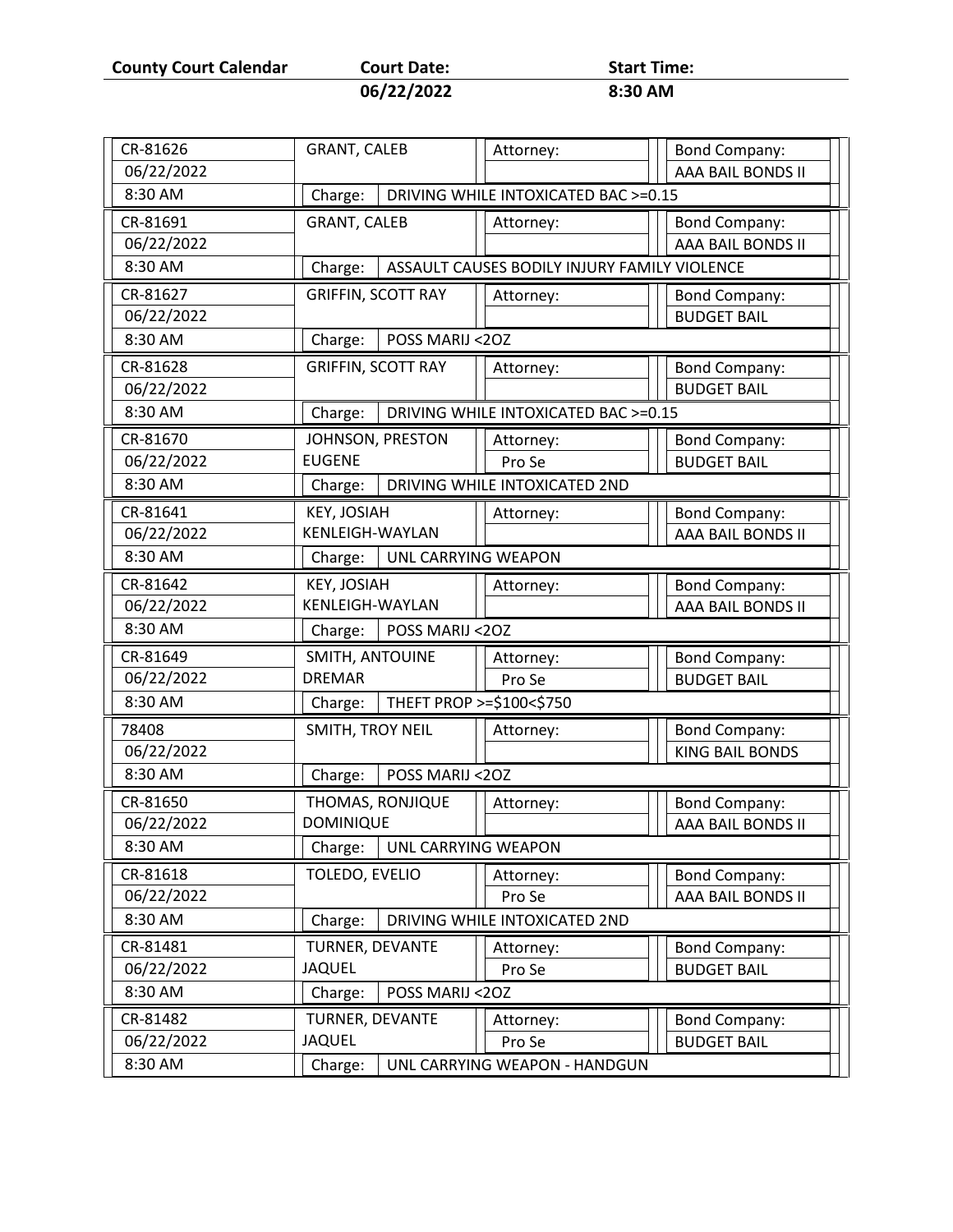**County Court Calendar Court Date:** Start Time:<br>06/22/2022 8:30 AM

**06/22/2022 8:30 AM**

| CR-81626   | <b>GRANT, CALEB</b>                                     | Attorney:                            | <b>Bond Company:</b>   |  |  |  |
|------------|---------------------------------------------------------|--------------------------------------|------------------------|--|--|--|
| 06/22/2022 |                                                         |                                      | AAA BAIL BONDS II      |  |  |  |
| 8:30 AM    | Charge:                                                 | DRIVING WHILE INTOXICATED BAC >=0.15 |                        |  |  |  |
| CR-81691   | <b>GRANT, CALEB</b>                                     | Attorney:                            | <b>Bond Company:</b>   |  |  |  |
| 06/22/2022 |                                                         |                                      | AAA BAIL BONDS II      |  |  |  |
| 8:30 AM    | ASSAULT CAUSES BODILY INJURY FAMILY VIOLENCE<br>Charge: |                                      |                        |  |  |  |
| CR-81627   | <b>GRIFFIN, SCOTT RAY</b>                               | Attorney:                            | <b>Bond Company:</b>   |  |  |  |
| 06/22/2022 |                                                         |                                      | <b>BUDGET BAIL</b>     |  |  |  |
| 8:30 AM    | Charge:<br>POSS MARIJ <20Z                              |                                      |                        |  |  |  |
| CR-81628   | <b>GRIFFIN, SCOTT RAY</b>                               | Attorney:                            | <b>Bond Company:</b>   |  |  |  |
| 06/22/2022 |                                                         |                                      | <b>BUDGET BAIL</b>     |  |  |  |
| 8:30 AM    | Charge:                                                 | DRIVING WHILE INTOXICATED BAC >=0.15 |                        |  |  |  |
| CR-81670   | JOHNSON, PRESTON                                        | Attorney:                            | <b>Bond Company:</b>   |  |  |  |
| 06/22/2022 | <b>EUGENE</b>                                           | Pro Se                               | <b>BUDGET BAIL</b>     |  |  |  |
| 8:30 AM    | DRIVING WHILE INTOXICATED 2ND<br>Charge:                |                                      |                        |  |  |  |
| CR-81641   | KEY, JOSIAH                                             | Attorney:                            | <b>Bond Company:</b>   |  |  |  |
| 06/22/2022 | KENLEIGH-WAYLAN                                         |                                      | AAA BAIL BONDS II      |  |  |  |
| 8:30 AM    | UNL CARRYING WEAPON<br>Charge:                          |                                      |                        |  |  |  |
| CR-81642   | KEY, JOSIAH                                             | Attorney:                            | <b>Bond Company:</b>   |  |  |  |
| 06/22/2022 | <b>KENLEIGH-WAYLAN</b>                                  |                                      | AAA BAIL BONDS II      |  |  |  |
| 8:30 AM    | POSS MARIJ <20Z<br>Charge:                              |                                      |                        |  |  |  |
| CR-81649   | SMITH, ANTOUINE                                         | Attorney:                            | <b>Bond Company:</b>   |  |  |  |
| 06/22/2022 | <b>DREMAR</b>                                           | Pro Se                               | <b>BUDGET BAIL</b>     |  |  |  |
| 8:30 AM    | THEFT PROP >=\$100<\$750<br>Charge:                     |                                      |                        |  |  |  |
| 78408      | SMITH, TROY NEIL                                        | Attorney:                            | <b>Bond Company:</b>   |  |  |  |
| 06/22/2022 |                                                         |                                      | <b>KING BAIL BONDS</b> |  |  |  |
| 8:30 AM    | POSS MARIJ <20Z<br>Charge:                              |                                      |                        |  |  |  |
| CR-81650   | THOMAS, RONJIQUE                                        | Attorney:                            | <b>Bond Company:</b>   |  |  |  |
| 06/22/2022 | <b>DOMINIQUE</b>                                        |                                      | AAA BAIL BONDS II      |  |  |  |
| 8:30 AM    | Charge:<br>UNL CARRYING WEAPON                          |                                      |                        |  |  |  |
| CR-81618   | TOLEDO, EVELIO                                          | Attorney:                            | <b>Bond Company:</b>   |  |  |  |
| 06/22/2022 |                                                         | Pro Se                               | AAA BAIL BONDS II      |  |  |  |
| 8:30 AM    | Charge:                                                 | DRIVING WHILE INTOXICATED 2ND        |                        |  |  |  |
| CR-81481   | TURNER, DEVANTE                                         | Attorney:                            | <b>Bond Company:</b>   |  |  |  |
| 06/22/2022 | <b>JAQUEL</b>                                           | Pro Se                               | <b>BUDGET BAIL</b>     |  |  |  |
| 8:30 AM    | Charge:<br>POSS MARIJ <20Z                              |                                      |                        |  |  |  |
| CR-81482   | TURNER, DEVANTE                                         | Attorney:                            | <b>Bond Company:</b>   |  |  |  |
| 06/22/2022 | <b>JAQUEL</b>                                           | Pro Se                               | <b>BUDGET BAIL</b>     |  |  |  |
| 8:30 AM    | Charge:                                                 | UNL CARRYING WEAPON - HANDGUN        |                        |  |  |  |